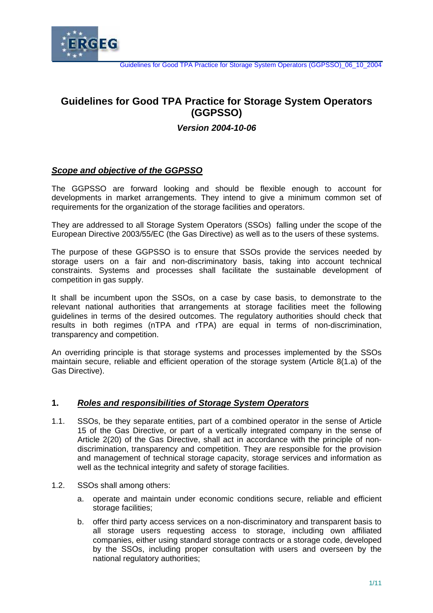

# **Guidelines for Good TPA Practice for Storage System Operators (GGPSSO)**

# *Version 2004-10-06*

# *Scope and objective of the GGPSSO*

The GGPSSO are forward looking and should be flexible enough to account for developments in market arrangements. They intend to give a minimum common set of requirements for the organization of the storage facilities and operators.

They are addressed to all Storage System Operators (SSOs) falling under the scope of the European Directive 2003/55/EC (the Gas Directive) as well as to the users of these systems.

The purpose of these GGPSSO is to ensure that SSOs provide the services needed by storage users on a fair and non-discriminatory basis, taking into account technical constraints. Systems and processes shall facilitate the sustainable development of competition in gas supply.

It shall be incumbent upon the SSOs, on a case by case basis, to demonstrate to the relevant national authorities that arrangements at storage facilities meet the following guidelines in terms of the desired outcomes. The regulatory authorities should check that results in both regimes (nTPA and rTPA) are equal in terms of non-discrimination, transparency and competition.

An overriding principle is that storage systems and processes implemented by the SSOs maintain secure, reliable and efficient operation of the storage system (Article 8(1.a) of the Gas Directive).

### **1.** *Roles and responsibilities of Storage System Operators*

- 1.1. SSOs, be they separate entities, part of a combined operator in the sense of Article 15 of the Gas Directive, or part of a vertically integrated company in the sense of Article 2(20) of the Gas Directive, shall act in accordance with the principle of nondiscrimination, transparency and competition. They are responsible for the provision and management of technical storage capacity, storage services and information as well as the technical integrity and safety of storage facilities.
- 1.2. SSOs shall among others:
	- a. operate and maintain under economic conditions secure, reliable and efficient storage facilities;
	- b. offer third party access services on a non-discriminatory and transparent basis to all storage users requesting access to storage, including own affiliated companies, either using standard storage contracts or a storage code, developed by the SSOs, including proper consultation with users and overseen by the national regulatory authorities;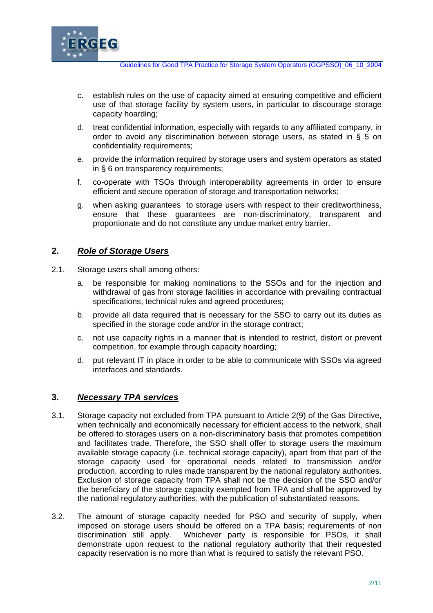

Guidelines for Good TPA Practice for Storage System Operators (GGPSSO)\_06\_10\_2004

- c. establish rules on the use of capacity aimed at ensuring competitive and efficient use of that storage facility by system users, in particular to discourage storage capacity hoarding;
- d. treat confidential information, especially with regards to any affiliated company, in order to avoid any discrimination between storage users, as stated in § 5 on confidentiality requirements;
- e. provide the information required by storage users and system operators as stated in § 6 on transparency requirements;
- f. co-operate with TSOs through interoperability agreements in order to ensure efficient and secure operation of storage and transportation networks;
- g. when asking guarantees to storage users with respect to their creditworthiness, ensure that these guarantees are non-discriminatory, transparent and proportionate and do not constitute any undue market entry barrier.

# **2.** *Role of Storage Users*

- 2.1. Storage users shall among others:
	- a. be responsible for making nominations to the SSOs and for the injection and withdrawal of gas from storage facilities in accordance with prevailing contractual specifications, technical rules and agreed procedures;
	- b. provide all data required that is necessary for the SSO to carry out its duties as specified in the storage code and/or in the storage contract;
	- c. not use capacity rights in a manner that is intended to restrict, distort or prevent competition, for example through capacity hoarding;
	- d. put relevant IT in place in order to be able to communicate with SSOs via agreed interfaces and standards.

### **3.** *Necessary TPA services*

- 3.1. Storage capacity not excluded from TPA pursuant to Article 2(9) of the Gas Directive, when technically and economically necessary for efficient access to the network, shall be offered to storages users on a non-discriminatory basis that promotes competition and facilitates trade. Therefore, the SSO shall offer to storage users the maximum available storage capacity (i.e. technical storage capacity), apart from that part of the storage capacity used for operational needs related to transmission and/or production, according to rules made transparent by the national regulatory authorities. Exclusion of storage capacity from TPA shall not be the decision of the SSO and/or the beneficiary of the storage capacity exempted from TPA and shall be approved by the national regulatory authorities, with the publication of substantiated reasons.
- 3.2. The amount of storage capacity needed for PSO and security of supply, when imposed on storage users should be offered on a TPA basis; requirements of non discrimination still apply. Whichever party is responsible for PSOs, it shall demonstrate upon request to the national regulatory authority that their requested capacity reservation is no more than what is required to satisfy the relevant PSO.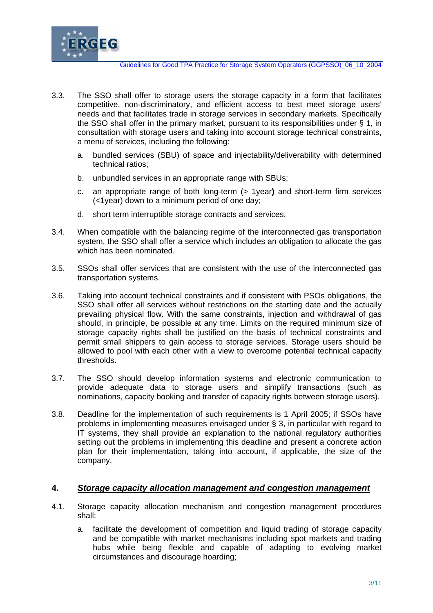

- 3.3. The SSO shall offer to storage users the storage capacity in a form that facilitates competitive, non-discriminatory, and efficient access to best meet storage users' needs and that facilitates trade in storage services in secondary markets. Specifically the SSO shall offer in the primary market, pursuant to its responsibilities under § 1, in consultation with storage users and taking into account storage technical constraints, a menu of services, including the following:
	- a. bundled services (SBU) of space and injectability/deliverability with determined technical ratios;
	- b. unbundled services in an appropriate range with SBUs;
	- c. an appropriate range of both long-term (> 1year**)** and short-term firm services (<1year) down to a minimum period of one day;
	- d. short term interruptible storage contracts and services.
- 3.4. When compatible with the balancing regime of the interconnected gas transportation system, the SSO shall offer a service which includes an obligation to allocate the gas which has been nominated.
- 3.5. SSOs shall offer services that are consistent with the use of the interconnected gas transportation systems.
- 3.6. Taking into account technical constraints and if consistent with PSOs obligations, the SSO shall offer all services without restrictions on the starting date and the actually prevailing physical flow. With the same constraints, injection and withdrawal of gas should, in principle, be possible at any time. Limits on the required minimum size of storage capacity rights shall be justified on the basis of technical constraints and permit small shippers to gain access to storage services. Storage users should be allowed to pool with each other with a view to overcome potential technical capacity thresholds.
- 3.7. The SSO should develop information systems and electronic communication to provide adequate data to storage users and simplify transactions (such as nominations, capacity booking and transfer of capacity rights between storage users).
- 3.8. Deadline for the implementation of such requirements is 1 April 2005; if SSOs have problems in implementing measures envisaged under § 3, in particular with regard to IT systems, they shall provide an explanation to the national regulatory authorities setting out the problems in implementing this deadline and present a concrete action plan for their implementation, taking into account, if applicable, the size of the company.

### **4.** *Storage capacity allocation management and congestion management*

- 4.1. Storage capacity allocation mechanism and congestion management procedures shall:
	- a. facilitate the development of competition and liquid trading of storage capacity and be compatible with market mechanisms including spot markets and trading hubs while being flexible and capable of adapting to evolving market circumstances and discourage hoarding;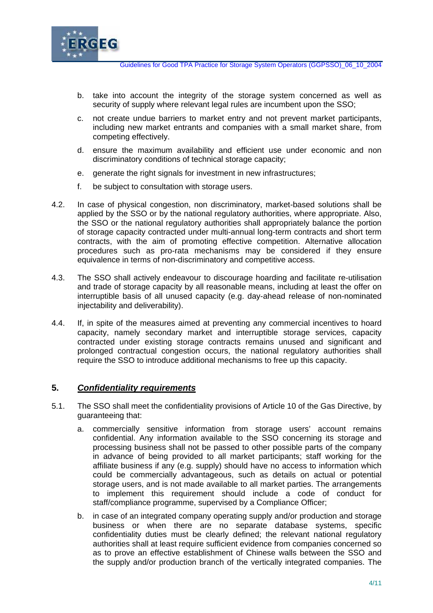

- b. take into account the integrity of the storage system concerned as well as security of supply where relevant legal rules are incumbent upon the SSO;
- c. not create undue barriers to market entry and not prevent market participants, including new market entrants and companies with a small market share, from competing effectively.
- d. ensure the maximum availability and efficient use under economic and non discriminatory conditions of technical storage capacity;
- e. generate the right signals for investment in new infrastructures;
- f. be subject to consultation with storage users.
- 4.2. In case of physical congestion, non discriminatory, market-based solutions shall be applied by the SSO or by the national regulatory authorities, where appropriate. Also, the SSO or the national regulatory authorities shall appropriately balance the portion of storage capacity contracted under multi-annual long-term contracts and short term contracts, with the aim of promoting effective competition. Alternative allocation procedures such as pro-rata mechanisms may be considered if they ensure equivalence in terms of non-discriminatory and competitive access.
- 4.3. The SSO shall actively endeavour to discourage hoarding and facilitate re-utilisation and trade of storage capacity by all reasonable means, including at least the offer on interruptible basis of all unused capacity (e.g. day-ahead release of non-nominated injectability and deliverability).
- 4.4. If, in spite of the measures aimed at preventing any commercial incentives to hoard capacity, namely secondary market and interruptible storage services, capacity contracted under existing storage contracts remains unused and significant and prolonged contractual congestion occurs, the national regulatory authorities shall require the SSO to introduce additional mechanisms to free up this capacity.

## **5.** *Confidentiality requirements*

- 5.1. The SSO shall meet the confidentiality provisions of Article 10 of the Gas Directive, by guaranteeing that:
	- a. commercially sensitive information from storage users' account remains confidential. Any information available to the SSO concerning its storage and processing business shall not be passed to other possible parts of the company in advance of being provided to all market participants; staff working for the affiliate business if any (e.g. supply) should have no access to information which could be commercially advantageous, such as details on actual or potential storage users, and is not made available to all market parties. The arrangements to implement this requirement should include a code of conduct for staff/compliance programme, supervised by a Compliance Officer;
	- b. in case of an integrated company operating supply and/or production and storage business or when there are no separate database systems, specific confidentiality duties must be clearly defined; the relevant national regulatory authorities shall at least require sufficient evidence from companies concerned so as to prove an effective establishment of Chinese walls between the SSO and the supply and/or production branch of the vertically integrated companies. The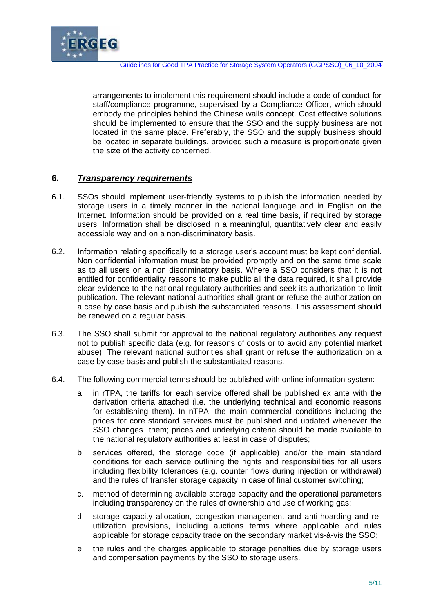

arrangements to implement this requirement should include a code of conduct for staff/compliance programme, supervised by a Compliance Officer, which should embody the principles behind the Chinese walls concept. Cost effective solutions should be implemented to ensure that the SSO and the supply business are not located in the same place. Preferably, the SSO and the supply business should be located in separate buildings, provided such a measure is proportionate given the size of the activity concerned.

## **6.** *Transparency requirements*

- 6.1. SSOs should implement user-friendly systems to publish the information needed by storage users in a timely manner in the national language and in English on the Internet. Information should be provided on a real time basis, if required by storage users. Information shall be disclosed in a meaningful, quantitatively clear and easily accessible way and on a non-discriminatory basis.
- 6.2. Information relating specifically to a storage user's account must be kept confidential. Non confidential information must be provided promptly and on the same time scale as to all users on a non discriminatory basis. Where a SSO considers that it is not entitled for confidentiality reasons to make public all the data required, it shall provide clear evidence to the national regulatory authorities and seek its authorization to limit publication. The relevant national authorities shall grant or refuse the authorization on a case by case basis and publish the substantiated reasons. This assessment should be renewed on a regular basis.
- 6.3. The SSO shall submit for approval to the national regulatory authorities any request not to publish specific data (e.g. for reasons of costs or to avoid any potential market abuse). The relevant national authorities shall grant or refuse the authorization on a case by case basis and publish the substantiated reasons.
- 6.4. The following commercial terms should be published with online information system:
	- a. in rTPA, the tariffs for each service offered shall be published ex ante with the derivation criteria attached (i.e. the underlying technical and economic reasons for establishing them). In nTPA, the main commercial conditions including the prices for core standard services must be published and updated whenever the SSO changes them; prices and underlying criteria should be made available to the national regulatory authorities at least in case of disputes;
	- b. services offered, the storage code (if applicable) and/or the main standard conditions for each service outlining the rights and responsibilities for all users including flexibility tolerances (e.g. counter flows during injection or withdrawal) and the rules of transfer storage capacity in case of final customer switching;
	- c. method of determining available storage capacity and the operational parameters including transparency on the rules of ownership and use of working gas;
	- d. storage capacity allocation, congestion management and anti-hoarding and reutilization provisions, including auctions terms where applicable and rules applicable for storage capacity trade on the secondary market vis-à-vis the SSO;
	- e. the rules and the charges applicable to storage penalties due by storage users and compensation payments by the SSO to storage users.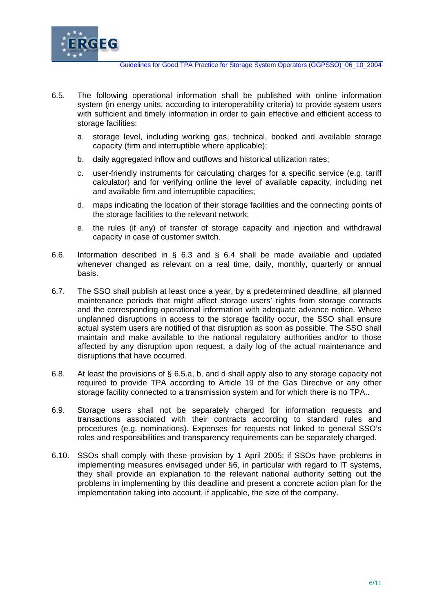

- 6.5. The following operational information shall be published with online information system (in energy units, according to interoperability criteria) to provide system users with sufficient and timely information in order to gain effective and efficient access to storage facilities:
	- a. storage level, including working gas, technical, booked and available storage capacity (firm and interruptible where applicable);
	- b. daily aggregated inflow and outflows and historical utilization rates;
	- c. user-friendly instruments for calculating charges for a specific service (e.g. tariff calculator) and for verifying online the level of available capacity, including net and available firm and interruptible capacities;
	- d. maps indicating the location of their storage facilities and the connecting points of the storage facilities to the relevant network;
	- e. the rules (if any) of transfer of storage capacity and injection and withdrawal capacity in case of customer switch.
- 6.6. Information described in § 6.3 and § 6.4 shall be made available and updated whenever changed as relevant on a real time, daily, monthly, quarterly or annual basis.
- 6.7. The SSO shall publish at least once a year, by a predetermined deadline, all planned maintenance periods that might affect storage users' rights from storage contracts and the corresponding operational information with adequate advance notice. Where unplanned disruptions in access to the storage facility occur, the SSO shall ensure actual system users are notified of that disruption as soon as possible. The SSO shall maintain and make available to the national regulatory authorities and/or to those affected by any disruption upon request, a daily log of the actual maintenance and disruptions that have occurred.
- 6.8. At least the provisions of § 6.5.a, b, and d shall apply also to any storage capacity not required to provide TPA according to Article 19 of the Gas Directive or any other storage facility connected to a transmission system and for which there is no TPA..
- 6.9. Storage users shall not be separately charged for information requests and transactions associated with their contracts according to standard rules and procedures (e.g. nominations). Expenses for requests not linked to general SSO's roles and responsibilities and transparency requirements can be separately charged.
- 6.10. SSOs shall comply with these provision by 1 April 2005; if SSOs have problems in implementing measures envisaged under §6, in particular with regard to IT systems, they shall provide an explanation to the relevant national authority setting out the problems in implementing by this deadline and present a concrete action plan for the implementation taking into account, if applicable, the size of the company.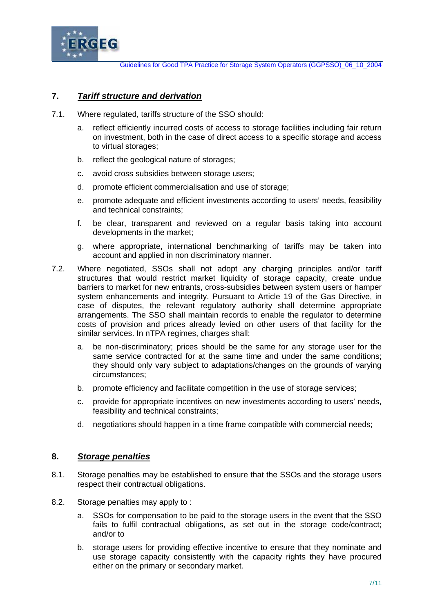

# **7.** *Tariff structure and derivation*

- 7.1. Where regulated, tariffs structure of the SSO should:
	- a. reflect efficiently incurred costs of access to storage facilities including fair return on investment, both in the case of direct access to a specific storage and access to virtual storages;
	- b. reflect the geological nature of storages;
	- c. avoid cross subsidies between storage users;
	- d. promote efficient commercialisation and use of storage;
	- e. promote adequate and efficient investments according to users' needs, feasibility and technical constraints;
	- f. be clear, transparent and reviewed on a regular basis taking into account developments in the market;
	- g. where appropriate, international benchmarking of tariffs may be taken into account and applied in non discriminatory manner.
- 7.2. Where negotiated, SSOs shall not adopt any charging principles and/or tariff structures that would restrict market liquidity of storage capacity, create undue barriers to market for new entrants, cross-subsidies between system users or hamper system enhancements and integrity. Pursuant to Article 19 of the Gas Directive, in case of disputes, the relevant regulatory authority shall determine appropriate arrangements. The SSO shall maintain records to enable the regulator to determine costs of provision and prices already levied on other users of that facility for the similar services. In nTPA regimes, charges shall:
	- a. be non-discriminatory; prices should be the same for any storage user for the same service contracted for at the same time and under the same conditions; they should only vary subject to adaptations/changes on the grounds of varying circumstances;
	- b. promote efficiency and facilitate competition in the use of storage services;
	- c. provide for appropriate incentives on new investments according to users' needs, feasibility and technical constraints;
	- d. negotiations should happen in a time frame compatible with commercial needs;

### **8.** *Storage penalties*

- 8.1. Storage penalties may be established to ensure that the SSOs and the storage users respect their contractual obligations.
- 8.2. Storage penalties may apply to :
	- a. SSOs for compensation to be paid to the storage users in the event that the SSO fails to fulfil contractual obligations, as set out in the storage code/contract; and/or to
	- b. storage users for providing effective incentive to ensure that they nominate and use storage capacity consistently with the capacity rights they have procured either on the primary or secondary market.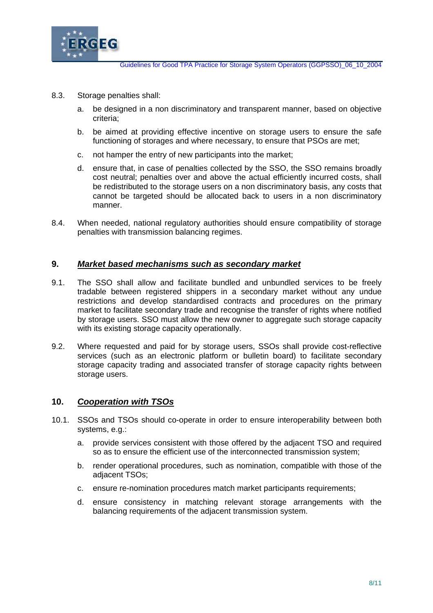

- 8.3. Storage penalties shall:
	- a. be designed in a non discriminatory and transparent manner, based on objective criteria;
	- b. be aimed at providing effective incentive on storage users to ensure the safe functioning of storages and where necessary, to ensure that PSOs are met;
	- c. not hamper the entry of new participants into the market;
	- d. ensure that, in case of penalties collected by the SSO, the SSO remains broadly cost neutral; penalties over and above the actual efficiently incurred costs, shall be redistributed to the storage users on a non discriminatory basis, any costs that cannot be targeted should be allocated back to users in a non discriminatory manner.
- 8.4. When needed, national regulatory authorities should ensure compatibility of storage penalties with transmission balancing regimes.

#### **9.** *Market based mechanisms such as secondary market*

- 9.1. The SSO shall allow and facilitate bundled and unbundled services to be freely tradable between registered shippers in a secondary market without any undue restrictions and develop standardised contracts and procedures on the primary market to facilitate secondary trade and recognise the transfer of rights where notified by storage users. SSO must allow the new owner to aggregate such storage capacity with its existing storage capacity operationally.
- 9.2. Where requested and paid for by storage users, SSOs shall provide cost-reflective services (such as an electronic platform or bulletin board) to facilitate secondary storage capacity trading and associated transfer of storage capacity rights between storage users.

### **10.** *Cooperation with TSOs*

- 10.1. SSOs and TSOs should co-operate in order to ensure interoperability between both systems, e.g.:
	- a. provide services consistent with those offered by the adjacent TSO and required so as to ensure the efficient use of the interconnected transmission system;
	- b. render operational procedures, such as nomination, compatible with those of the adjacent TSOs;
	- c. ensure re-nomination procedures match market participants requirements;
	- d. ensure consistency in matching relevant storage arrangements with the balancing requirements of the adjacent transmission system.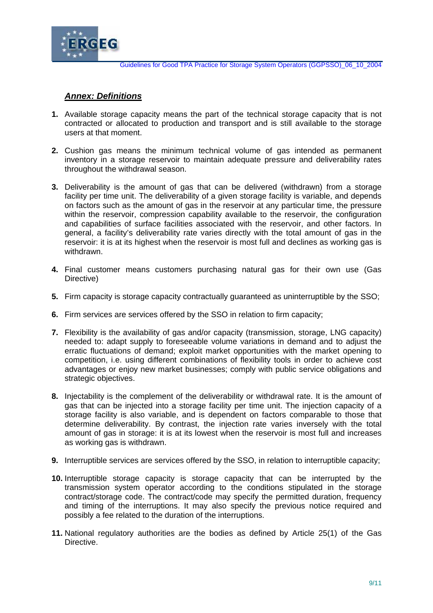

Guidelines for Good TPA Practice for Storage System Operators (GGPSSO)\_06\_10\_2004

# *Annex: Definitions*

- **1.** Available storage capacity means the part of the technical storage capacity that is not contracted or allocated to production and transport and is still available to the storage users at that moment.
- **2.** Cushion gas means the minimum technical volume of gas intended as permanent inventory in a storage reservoir to maintain adequate pressure and deliverability rates throughout the withdrawal season.
- **3.** Deliverability is the amount of gas that can be delivered (withdrawn) from a storage facility per time unit. The deliverability of a given storage facility is variable, and depends on factors such as the amount of gas in the reservoir at any particular time, the pressure within the reservoir, compression capability available to the reservoir, the configuration and capabilities of surface facilities associated with the reservoir, and other factors. In general, a facility's deliverability rate varies directly with the total amount of gas in the reservoir: it is at its highest when the reservoir is most full and declines as working gas is withdrawn.
- **4.** Final customer means customers purchasing natural gas for their own use (Gas Directive)
- **5.** Firm capacity is storage capacity contractually guaranteed as uninterruptible by the SSO;
- **6.** Firm services are services offered by the SSO in relation to firm capacity;
- **7.** Flexibility is the availability of gas and/or capacity (transmission, storage, LNG capacity) needed to: adapt supply to foreseeable volume variations in demand and to adjust the erratic fluctuations of demand; exploit market opportunities with the market opening to competition, i.e. using different combinations of flexibility tools in order to achieve cost advantages or enjoy new market businesses; comply with public service obligations and strategic objectives.
- **8.** Injectability is the complement of the deliverability or withdrawal rate. It is the amount of gas that can be injected into a storage facility per time unit. The injection capacity of a storage facility is also variable, and is dependent on factors comparable to those that determine deliverability. By contrast, the injection rate varies inversely with the total amount of gas in storage: it is at its lowest when the reservoir is most full and increases as working gas is withdrawn.
- **9.** Interruptible services are services offered by the SSO, in relation to interruptible capacity;
- **10.** Interruptible storage capacity is storage capacity that can be interrupted by the transmission system operator according to the conditions stipulated in the storage contract/storage code. The contract/code may specify the permitted duration, frequency and timing of the interruptions. It may also specify the previous notice required and possibly a fee related to the duration of the interruptions.
- **11.** National regulatory authorities are the bodies as defined by Article 25(1) of the Gas Directive.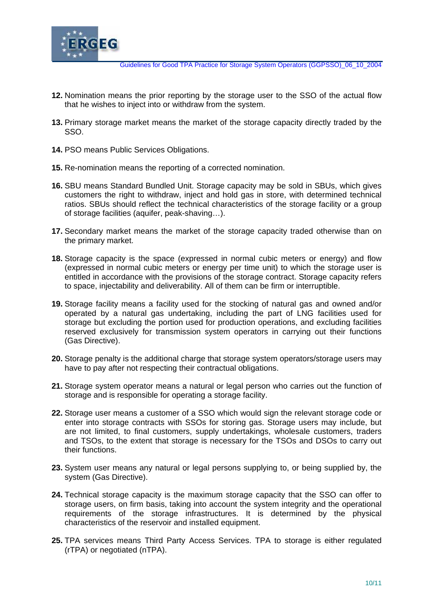

Guidelines for Good TPA Practice for Storage System Operators (GGPSSO)\_06\_10\_2004

- **12.** Nomination means the prior reporting by the storage user to the SSO of the actual flow that he wishes to inject into or withdraw from the system.
- **13.** Primary storage market means the market of the storage capacity directly traded by the SSO.
- **14.** PSO means Public Services Obligations.
- **15.** Re-nomination means the reporting of a corrected nomination.
- **16.** SBU means Standard Bundled Unit. Storage capacity may be sold in SBUs, which gives customers the right to withdraw, inject and hold gas in store, with determined technical ratios. SBUs should reflect the technical characteristics of the storage facility or a group of storage facilities (aquifer, peak-shaving…).
- **17.** Secondary market means the market of the storage capacity traded otherwise than on the primary market.
- **18.** Storage capacity is the space (expressed in normal cubic meters or energy) and flow (expressed in normal cubic meters or energy per time unit) to which the storage user is entitled in accordance with the provisions of the storage contract. Storage capacity refers to space, injectability and deliverability. All of them can be firm or interruptible.
- **19.** Storage facility means a facility used for the stocking of natural gas and owned and/or operated by a natural gas undertaking, including the part of LNG facilities used for storage but excluding the portion used for production operations, and excluding facilities reserved exclusively for transmission system operators in carrying out their functions (Gas Directive).
- **20.** Storage penalty is the additional charge that storage system operators/storage users may have to pay after not respecting their contractual obligations.
- **21.** Storage system operator means a natural or legal person who carries out the function of storage and is responsible for operating a storage facility.
- **22.** Storage user means a customer of a SSO which would sign the relevant storage code or enter into storage contracts with SSOs for storing gas. Storage users may include, but are not limited, to final customers, supply undertakings, wholesale customers, traders and TSOs, to the extent that storage is necessary for the TSOs and DSOs to carry out their functions.
- **23.** System user means any natural or legal persons supplying to, or being supplied by, the system (Gas Directive).
- **24.** Technical storage capacity is the maximum storage capacity that the SSO can offer to storage users, on firm basis, taking into account the system integrity and the operational requirements of the storage infrastructures. It is determined by the physical characteristics of the reservoir and installed equipment.
- **25.** TPA services means Third Party Access Services. TPA to storage is either regulated (rTPA) or negotiated (nTPA).